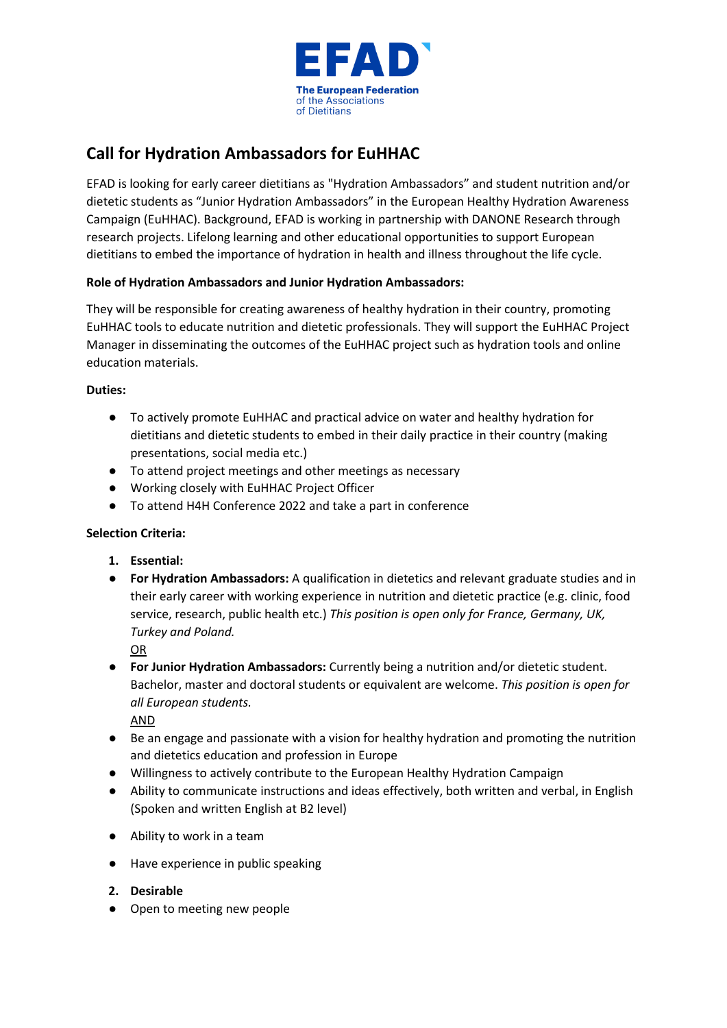

# **Call for Hydration Ambassadors for EuHHAC**

EFAD is looking for early career dietitians as "Hydration Ambassadors" and student nutrition and/or dietetic students as "Junior Hydration Ambassadors" in the European Healthy Hydration Awareness Campaign (EuHHAC). Background, EFAD is working in partnership with DANONE Research through research projects. Lifelong learning and other educational opportunities to support European dietitians to embed the importance of hydration in health and illness throughout the life cycle.

## **Role of Hydration Ambassadors and Junior Hydration Ambassadors:**

They will be responsible for creating awareness of healthy hydration in their country, promoting EuHHAC tools to educate nutrition and dietetic professionals. They will support the EuHHAC Project Manager in disseminating the outcomes of the EuHHAC project such as hydration tools and online education materials.

## **Duties:**

- To actively promote EuHHAC and practical advice on water and healthy hydration for dietitians and dietetic students to embed in their daily practice in their country (making presentations, social media etc.)
- To attend project meetings and other meetings as necessary
- Working closely with EuHHAC Project Officer
- To attend H4H Conference 2022 and take a part in conference

## **Selection Criteria:**

- **1. Essential:**
- **For Hydration Ambassadors:** A qualification in dietetics and relevant graduate studies and in their early career with working experience in nutrition and dietetic practice (e.g. clinic, food service, research, public health etc.) *This position is open only for France, Germany, UK, Turkey and Poland.*

OR

● **For Junior Hydration Ambassadors:** Currently being a nutrition and/or dietetic student. Bachelor, master and doctoral students or equivalent are welcome. *This position is open for all European students.* 

AND

- Be an engage and passionate with a vision for healthy hydration and promoting the nutrition and dietetics education and profession in Europe
- Willingness to actively contribute to the European Healthy Hydration Campaign
- Ability to communicate instructions and ideas effectively, both written and verbal, in English (Spoken and written English at B2 level)
- Ability to work in a team
- Have experience in public speaking
- **2. Desirable**
- Open to meeting new people